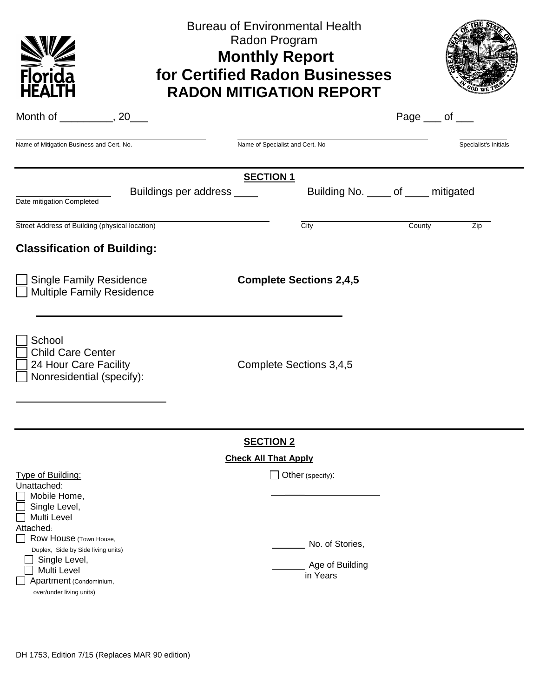| Florida<br><b>HEALTH</b>                                                                                                                                                                                                                                                             |                            | <b>Bureau of Environmental Health</b><br>Radon Program<br><b>Monthly Report</b><br>for Certified Radon Businesses<br><b>RADON MITIGATION REPORT</b> |                                                                           |                       |                       |  |  |
|--------------------------------------------------------------------------------------------------------------------------------------------------------------------------------------------------------------------------------------------------------------------------------------|----------------------------|-----------------------------------------------------------------------------------------------------------------------------------------------------|---------------------------------------------------------------------------|-----------------------|-----------------------|--|--|
| Month of ____________, 20____                                                                                                                                                                                                                                                        |                            |                                                                                                                                                     |                                                                           | Page $\_\_$ of $\_\_$ |                       |  |  |
| Name of Mitigation Business and Cert. No.                                                                                                                                                                                                                                            |                            | Name of Specialist and Cert. No                                                                                                                     |                                                                           |                       | Specialist's Initials |  |  |
|                                                                                                                                                                                                                                                                                      |                            | <b>SECTION 1</b>                                                                                                                                    |                                                                           |                       |                       |  |  |
| Date mitigation Completed                                                                                                                                                                                                                                                            | Buildings per address ____ |                                                                                                                                                     | Building No. _____ of _____ mitigated                                     |                       |                       |  |  |
| Street Address of Building (physical location)                                                                                                                                                                                                                                       |                            |                                                                                                                                                     | City                                                                      | County                | Zip                   |  |  |
| <b>Classification of Building:</b>                                                                                                                                                                                                                                                   |                            |                                                                                                                                                     |                                                                           |                       |                       |  |  |
| <b>Single Family Residence</b><br><b>Complete Sections 2,4,5</b><br><b>Multiple Family Residence</b>                                                                                                                                                                                 |                            |                                                                                                                                                     |                                                                           |                       |                       |  |  |
| School<br><b>Child Care Center</b><br>24 Hour Care Facility<br>Nonresidential (specify):                                                                                                                                                                                             |                            | Complete Sections 3,4,5                                                                                                                             |                                                                           |                       |                       |  |  |
| <b>SECTION 2</b>                                                                                                                                                                                                                                                                     |                            |                                                                                                                                                     |                                                                           |                       |                       |  |  |
|                                                                                                                                                                                                                                                                                      |                            | <b>Check All That Apply</b>                                                                                                                         |                                                                           |                       |                       |  |  |
| <b>Type of Building:</b><br>Unattached:<br>Mobile Home,<br>Single Level,<br><b>Multi Level</b><br>Attached:<br>Row House (Town House,<br>$\blacksquare$<br>Duplex, Side by Side living units)<br>Single Level,<br>Multi Level<br>Apartment (Condominium,<br>over/under living units) |                            |                                                                                                                                                     | $\Box$ Other (specify):<br>No. of Stories,<br>Age of Building<br>in Years |                       |                       |  |  |
|                                                                                                                                                                                                                                                                                      |                            |                                                                                                                                                     |                                                                           |                       |                       |  |  |